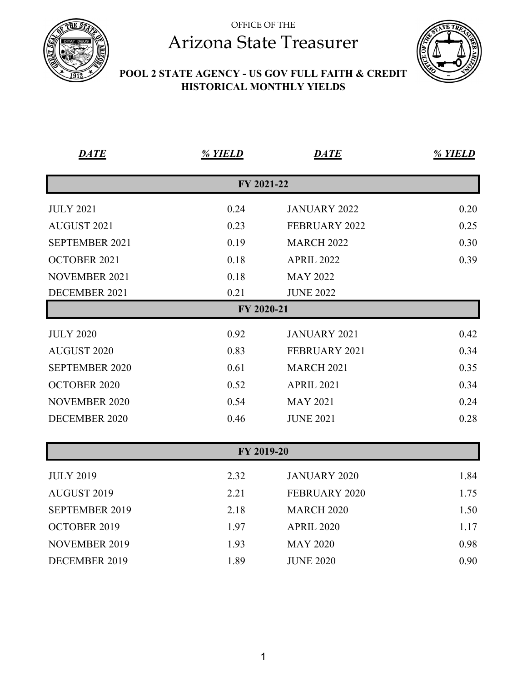



#### **POOL 2 STATE AGENCY - US GOV FULL FAITH & CREDIT HISTORICAL MONTHLY YIELDS**

| <b>DATE</b>           | % YIELD    | <b>DATE</b>          | % YIELD |
|-----------------------|------------|----------------------|---------|
|                       | FY 2021-22 |                      |         |
| <b>JULY 2021</b>      | 0.24       | <b>JANUARY 2022</b>  | 0.20    |
| AUGUST 2021           | 0.23       | <b>FEBRUARY 2022</b> | 0.25    |
| SEPTEMBER 2021        | 0.19       | <b>MARCH 2022</b>    | 0.30    |
| <b>OCTOBER 2021</b>   | 0.18       | <b>APRIL 2022</b>    | 0.39    |
| <b>NOVEMBER 2021</b>  | 0.18       | <b>MAY 2022</b>      |         |
| DECEMBER 2021         | 0.21       | <b>JUNE 2022</b>     |         |
|                       | FY 2020-21 |                      |         |
| <b>JULY 2020</b>      | 0.92       | <b>JANUARY 2021</b>  | 0.42    |
| AUGUST 2020           | 0.83       | FEBRUARY 2021        | 0.34    |
| <b>SEPTEMBER 2020</b> | 0.61       | <b>MARCH 2021</b>    | 0.35    |
| <b>OCTOBER 2020</b>   | 0.52       | <b>APRIL 2021</b>    | 0.34    |
| <b>NOVEMBER 2020</b>  | 0.54       | <b>MAY 2021</b>      | 0.24    |
| <b>DECEMBER 2020</b>  | 0.46       | <b>JUNE 2021</b>     | 0.28    |
|                       |            |                      |         |
|                       | FY 2019-20 |                      |         |
| <b>JULY 2019</b>      | 2.32       | <b>JANUARY 2020</b>  | 1.84    |
| AUGUST 2019           | 2.21       | <b>FEBRUARY 2020</b> | 1.75    |
| <b>SEPTEMBER 2019</b> | 2.18       | <b>MARCH 2020</b>    | 1.50    |
| <b>OCTOBER 2019</b>   | 1.97       | <b>APRIL 2020</b>    | 1.17    |
| <b>NOVEMBER 2019</b>  | 1.93       | <b>MAY 2020</b>      | 0.98    |
| DECEMBER 2019         | 1.89       | <b>JUNE 2020</b>     | 0.90    |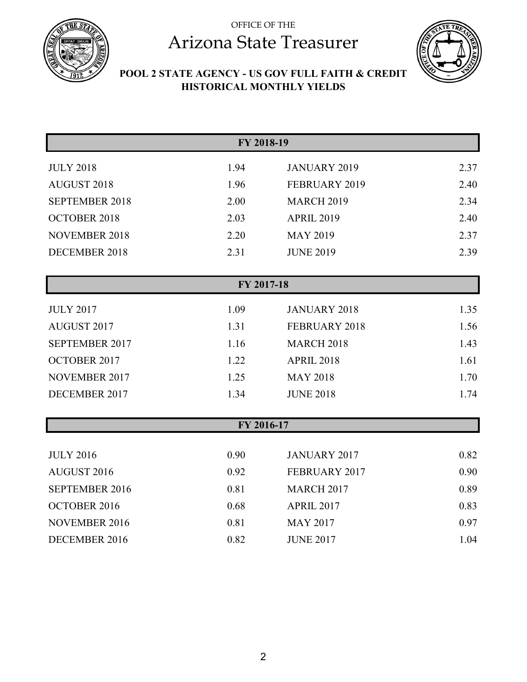



#### **POOL 2 STATE AGENCY - US GOV FULL FAITH & CREDIT HISTORICAL MONTHLY YIELDS**

| FY 2018-19            |            |                      |      |  |
|-----------------------|------------|----------------------|------|--|
| <b>JULY 2018</b>      | 1.94       | <b>JANUARY 2019</b>  | 2.37 |  |
| AUGUST 2018           | 1.96       | FEBRUARY 2019        | 2.40 |  |
| <b>SEPTEMBER 2018</b> | 2.00       | <b>MARCH 2019</b>    | 2.34 |  |
| <b>OCTOBER 2018</b>   | 2.03       | <b>APRIL 2019</b>    | 2.40 |  |
| <b>NOVEMBER 2018</b>  | 2.20       | <b>MAY 2019</b>      | 2.37 |  |
| DECEMBER 2018         | 2.31       | <b>JUNE 2019</b>     | 2.39 |  |
|                       |            |                      |      |  |
|                       | FY 2017-18 |                      |      |  |
| <b>JULY 2017</b>      | 1.09       | <b>JANUARY 2018</b>  | 1.35 |  |
| AUGUST 2017           | 1.31       | <b>FEBRUARY 2018</b> | 1.56 |  |
| SEPTEMBER 2017        | 1.16       | <b>MARCH 2018</b>    | 1.43 |  |
| OCTOBER 2017          | 1.22       | <b>APRIL 2018</b>    | 1.61 |  |
| <b>NOVEMBER 2017</b>  | 1.25       | <b>MAY 2018</b>      | 1.70 |  |
| DECEMBER 2017         | 1.34       | <b>JUNE 2018</b>     | 1.74 |  |
|                       |            |                      |      |  |
|                       | FY 2016-17 |                      |      |  |
| <b>JULY 2016</b>      | 0.90       | <b>JANUARY 2017</b>  | 0.82 |  |
| AUGUST 2016           | 0.92       | FEBRUARY 2017        | 0.90 |  |
| <b>SEPTEMBER 2016</b> | 0.81       | <b>MARCH 2017</b>    | 0.89 |  |
| OCTOBER 2016          | 0.68       | <b>APRIL 2017</b>    | 0.83 |  |
| <b>NOVEMBER 2016</b>  | 0.81       | <b>MAY 2017</b>      | 0.97 |  |
| DECEMBER 2016         | 0.82       | <b>JUNE 2017</b>     | 1.04 |  |
|                       |            |                      |      |  |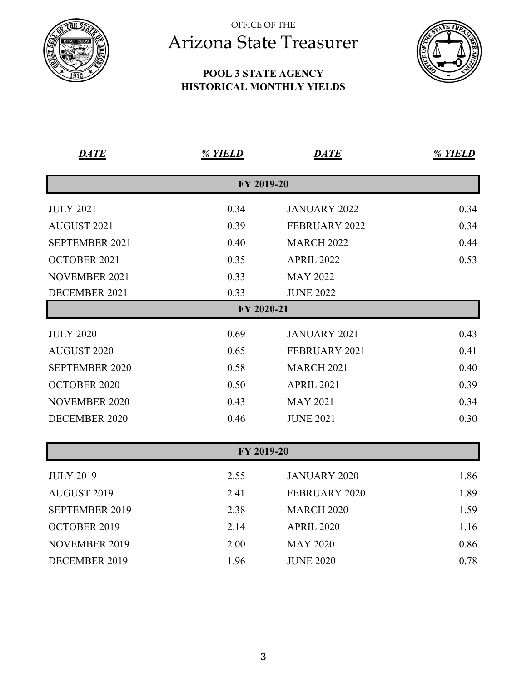

#### **POOL 3 STATE AGENCY HISTORICAL MONTHLY YIELDS**



| <b>DATE</b>           | % YIELD    | <b>DATE</b>          | % YIELD |
|-----------------------|------------|----------------------|---------|
|                       | FY 2019-20 |                      |         |
| <b>JULY 2021</b>      | 0.34       | <b>JANUARY 2022</b>  | 0.34    |
| <b>AUGUST 2021</b>    | 0.39       | FEBRUARY 2022        | 0.34    |
| <b>SEPTEMBER 2021</b> | 0.40       | <b>MARCH 2022</b>    | 0.44    |
| OCTOBER 2021          | 0.35       | <b>APRIL 2022</b>    | 0.53    |
| <b>NOVEMBER 2021</b>  | 0.33       | <b>MAY 2022</b>      |         |
| DECEMBER 2021         | 0.33       | <b>JUNE 2022</b>     |         |
|                       | FY 2020-21 |                      |         |
| <b>JULY 2020</b>      | 0.69       | <b>JANUARY 2021</b>  | 0.43    |
| AUGUST 2020           | 0.65       | FEBRUARY 2021        | 0.41    |
| <b>SEPTEMBER 2020</b> | 0.58       | <b>MARCH 2021</b>    | 0.40    |
| <b>OCTOBER 2020</b>   | 0.50       | <b>APRIL 2021</b>    | 0.39    |
| <b>NOVEMBER 2020</b>  | 0.43       | <b>MAY 2021</b>      | 0.34    |
| DECEMBER 2020         | 0.46       | <b>JUNE 2021</b>     | 0.30    |
|                       | FY 2019-20 |                      |         |
|                       |            |                      |         |
| <b>JULY 2019</b>      | 2.55       | <b>JANUARY 2020</b>  | 1.86    |
| <b>AUGUST 2019</b>    | 2.41       | <b>FEBRUARY 2020</b> | 1.89    |
| <b>SEPTEMBER 2019</b> | 2.38       | <b>MARCH 2020</b>    | 1.59    |
| OCTOBER 2019          | 2.14       | <b>APRIL 2020</b>    | 1.16    |
| <b>NOVEMBER 2019</b>  | 2.00       | <b>MAY 2020</b>      | 0.86    |

DECEMBER 2019 1.96 JUNE 2020 0.78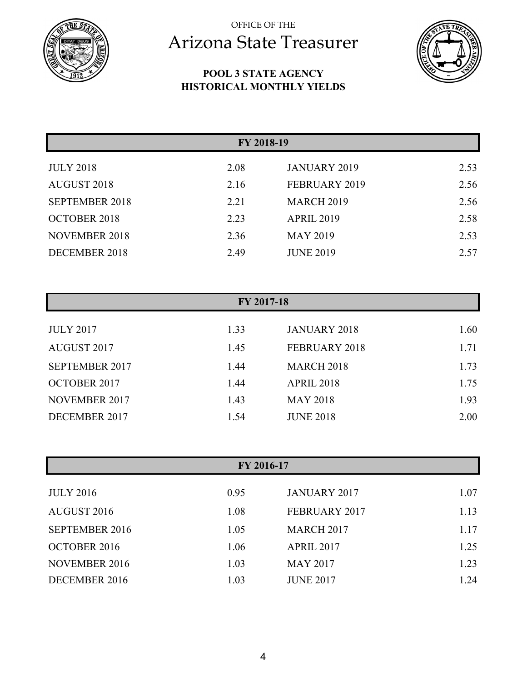

#### **POOL 3 STATE AGENCY HISTORICAL MONTHLY YIELDS**



| FY 2018-19            |      |                     |      |
|-----------------------|------|---------------------|------|
| <b>JULY 2018</b>      | 2.08 | <b>JANUARY 2019</b> | 2.53 |
| <b>AUGUST 2018</b>    | 2.16 | FEBRUARY 2019       | 2.56 |
| <b>SEPTEMBER 2018</b> | 2.21 | <b>MARCH 2019</b>   | 2.56 |
| <b>OCTOBER 2018</b>   | 2.23 | <b>APRIL 2019</b>   | 2.58 |
| <b>NOVEMBER 2018</b>  | 2.36 | <b>MAY 2019</b>     | 2.53 |
| DECEMBER 2018         | 2.49 | <b>JUNE 2019</b>    | 2.57 |

| FY 2017-18            |      |                     |      |
|-----------------------|------|---------------------|------|
| <b>JULY 2017</b>      | 1.33 | <b>JANUARY 2018</b> | 1.60 |
| AUGUST 2017           | 1.45 | FEBRUARY 2018       | 1.71 |
| <b>SEPTEMBER 2017</b> | 1.44 | <b>MARCH 2018</b>   | 1.73 |
| <b>OCTOBER 2017</b>   | 1.44 | <b>APRIL 2018</b>   | 1.75 |
| NOVEMBER 2017         | 1.43 | <b>MAY 2018</b>     | 1.93 |
| DECEMBER 2017         | 1.54 | <b>JUNE 2018</b>    | 2.00 |

| FY 2016-17            |      |                     |      |  |
|-----------------------|------|---------------------|------|--|
|                       |      |                     |      |  |
| <b>JULY 2016</b>      | 0.95 | <b>JANUARY 2017</b> | 1.07 |  |
| AUGUST 2016           | 1.08 | FEBRUARY 2017       | 1.13 |  |
| <b>SEPTEMBER 2016</b> | 1.05 | <b>MARCH 2017</b>   | 1.17 |  |
| <b>OCTOBER 2016</b>   | 1.06 | <b>APRIL 2017</b>   | 1.25 |  |
| NOVEMBER 2016         | 1.03 | <b>MAY 2017</b>     | 1.23 |  |
| DECEMBER 2016         | 1.03 | <b>JUNE 2017</b>    | 1.24 |  |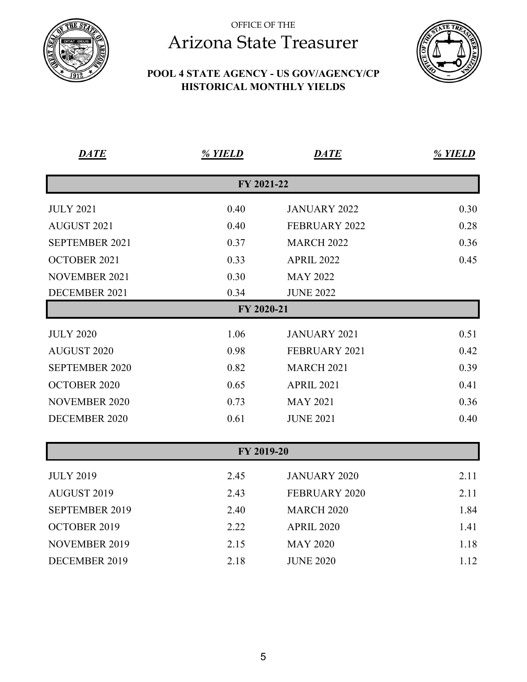

#### **POOL 4 STATE AGENCY - US GOV/AGENCY/CP HISTORICAL MONTHLY YIELDS**



| <b>DATE</b>           | % YIELD    | <b>DATE</b>          | % YIELD |
|-----------------------|------------|----------------------|---------|
|                       | FY 2021-22 |                      |         |
| <b>JULY 2021</b>      | 0.40       | <b>JANUARY 2022</b>  | 0.30    |
| <b>AUGUST 2021</b>    | 0.40       | <b>FEBRUARY 2022</b> | 0.28    |
| <b>SEPTEMBER 2021</b> | 0.37       | <b>MARCH 2022</b>    | 0.36    |
| OCTOBER 2021          | 0.33       | <b>APRIL 2022</b>    | 0.45    |
| <b>NOVEMBER 2021</b>  | 0.30       | <b>MAY 2022</b>      |         |
| DECEMBER 2021         | 0.34       | <b>JUNE 2022</b>     |         |
|                       | FY 2020-21 |                      |         |
| <b>JULY 2020</b>      | 1.06       | JANUARY 2021         | 0.51    |
| AUGUST 2020           | 0.98       | FEBRUARY 2021        | 0.42    |
| <b>SEPTEMBER 2020</b> | 0.82       | <b>MARCH 2021</b>    | 0.39    |
| <b>OCTOBER 2020</b>   | 0.65       | <b>APRIL 2021</b>    | 0.41    |
| <b>NOVEMBER 2020</b>  | 0.73       | <b>MAY 2021</b>      | 0.36    |
| <b>DECEMBER 2020</b>  | 0.61       | <b>JUNE 2021</b>     | 0.40    |
|                       |            |                      |         |
|                       | FY 2019-20 |                      |         |
| <b>JULY 2019</b>      | 2.45       | <b>JANUARY 2020</b>  | 2.11    |
| AUGUST 2019           | 2.43       | <b>FEBRUARY 2020</b> | 2.11    |
| <b>SEPTEMBER 2019</b> | 2.40       | <b>MARCH 2020</b>    | 1.84    |

| OCTOBER 2019  | 2.22 | <b>APRIL 2020</b> | 1.41 |
|---------------|------|-------------------|------|
| NOVEMBER 2019 | 2.15 | MAY 2020          | 1.18 |
| DECEMBER 2019 | 2.18 | <b>JUNE 2020</b>  | 1.12 |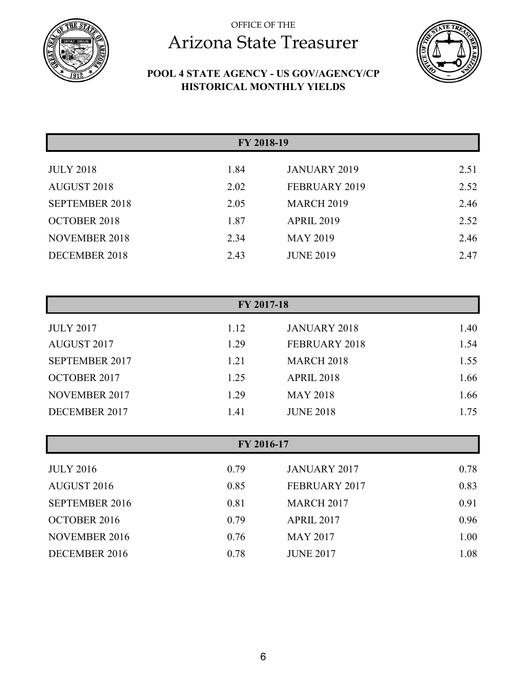



#### **POOL 4 STATE AGENCY - US GOV/AGENCY/CP HISTORICAL MONTHLY YIELDS**

|                       |      | FY 2018-19          |      |
|-----------------------|------|---------------------|------|
|                       |      |                     |      |
| <b>JULY 2018</b>      | 1.84 | <b>JANUARY 2019</b> | 2.51 |
| <b>AUGUST 2018</b>    | 2.02 | FEBRUARY 2019       | 2.52 |
| <b>SEPTEMBER 2018</b> | 2.05 | <b>MARCH 2019</b>   | 2.46 |
| <b>OCTOBER 2018</b>   | 1.87 | <b>APRIL 2019</b>   | 2.52 |
| <b>NOVEMBER 2018</b>  | 2.34 | <b>MAY 2019</b>     | 2.46 |
| DECEMBER 2018         | 2.43 | <b>JUNE 2019</b>    | 2.47 |

| FY 2017-18            |      |                     |      |  |
|-----------------------|------|---------------------|------|--|
| <b>JULY 2017</b>      | 1.12 | <b>JANUARY 2018</b> | 1.40 |  |
| AUGUST 2017           | 1.29 | FEBRUARY 2018       | 1.54 |  |
| <b>SEPTEMBER 2017</b> | 1.21 | <b>MARCH 2018</b>   | 1.55 |  |
| <b>OCTOBER 2017</b>   | 1.25 | <b>APRIL 2018</b>   | 1.66 |  |
| NOVEMBER 2017         | 1.29 | <b>MAY 2018</b>     | 1.66 |  |
| DECEMBER 2017         | 1.41 | <b>JUNE 2018</b>    | 1.75 |  |

| FY 2016-17            |      |                     |      |
|-----------------------|------|---------------------|------|
| <b>JULY 2016</b>      | 0.79 | <b>JANUARY 2017</b> | 0.78 |
| AUGUST 2016           | 0.85 | FEBRUARY 2017       | 0.83 |
| <b>SEPTEMBER 2016</b> | 0.81 | <b>MARCH 2017</b>   | 0.91 |
| <b>OCTOBER 2016</b>   | 0.79 | <b>APRIL 2017</b>   | 0.96 |
| <b>NOVEMBER 2016</b>  | 0.76 | <b>MAY 2017</b>     | 1.00 |
| DECEMBER 2016         | 0.78 | <b>JUNE 2017</b>    | 1.08 |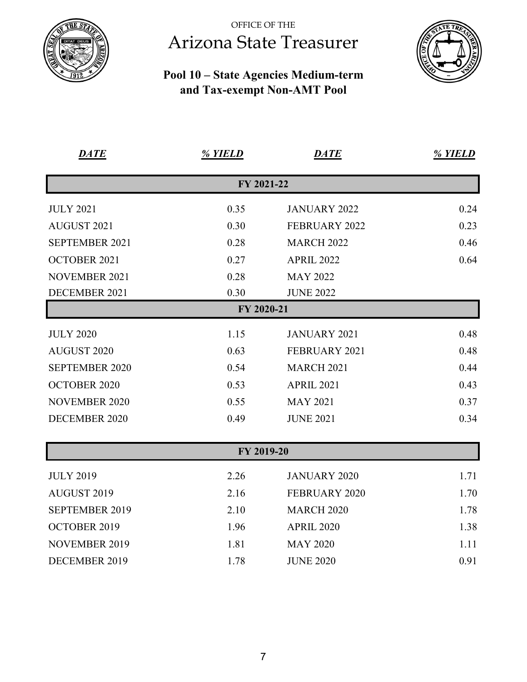

#### **Pool 10 – State Agencies Medium-term and Tax-exempt Non-AMT Pool**



| <b>DATE</b>           | % YIELD    | <b>DATE</b>          | % YIELD |
|-----------------------|------------|----------------------|---------|
|                       | FY 2021-22 |                      |         |
| <b>JULY 2021</b>      | 0.35       | <b>JANUARY 2022</b>  | 0.24    |
| <b>AUGUST 2021</b>    | 0.30       | FEBRUARY 2022        | 0.23    |
| SEPTEMBER 2021        | 0.28       | <b>MARCH 2022</b>    | 0.46    |
| <b>OCTOBER 2021</b>   | 0.27       | <b>APRIL 2022</b>    | 0.64    |
| <b>NOVEMBER 2021</b>  | 0.28       | <b>MAY 2022</b>      |         |
| DECEMBER 2021         | 0.30       | <b>JUNE 2022</b>     |         |
|                       | FY 2020-21 |                      |         |
| <b>JULY 2020</b>      | 1.15       | <b>JANUARY 2021</b>  | 0.48    |
| <b>AUGUST 2020</b>    | 0.63       | FEBRUARY 2021        | 0.48    |
| <b>SEPTEMBER 2020</b> | 0.54       | <b>MARCH 2021</b>    | 0.44    |
| <b>OCTOBER 2020</b>   | 0.53       | <b>APRIL 2021</b>    | 0.43    |
| <b>NOVEMBER 2020</b>  | 0.55       | <b>MAY 2021</b>      | 0.37    |
| <b>DECEMBER 2020</b>  | 0.49       | <b>JUNE 2021</b>     | 0.34    |
|                       | FY 2019-20 |                      |         |
| <b>JULY 2019</b>      | 2.26       | <b>JANUARY 2020</b>  | 1.71    |
| AUGUST 2019           | 2.16       | <b>FEBRUARY 2020</b> | 1.70    |
| <b>SEPTEMBER 2019</b> | 2.10       | <b>MARCH 2020</b>    | 1.78    |
| OCTOBER 2019          | 1.96       | <b>APRIL 2020</b>    | 1.38    |
| <b>NOVEMBER 2019</b>  | 1.81       | <b>MAY 2020</b>      | 1.11    |

DECEMBER 2019 1.78 JUNE 2020 0.91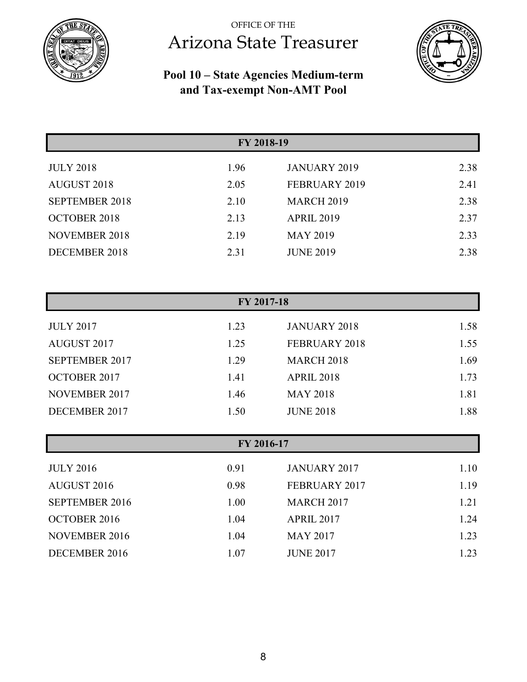



#### **Pool 10 – State Agencies Medium-term and Tax-exempt Non-AMT Pool**

| FY 2018-19            |      |                     |      |
|-----------------------|------|---------------------|------|
| <b>JULY 2018</b>      | 1.96 | <b>JANUARY 2019</b> | 2.38 |
| <b>AUGUST 2018</b>    | 2.05 | FEBRUARY 2019       | 2.41 |
| <b>SEPTEMBER 2018</b> | 2.10 | <b>MARCH 2019</b>   | 2.38 |
| <b>OCTOBER 2018</b>   | 2.13 | <b>APRIL 2019</b>   | 2.37 |
| <b>NOVEMBER 2018</b>  | 2.19 | <b>MAY 2019</b>     | 2.33 |
| DECEMBER 2018         | 2.31 | <b>JUNE 2019</b>    | 2.38 |

| FY 2017-18           |      |                     |      |
|----------------------|------|---------------------|------|
| <b>JULY 2017</b>     | 1.23 | <b>JANUARY 2018</b> | 1.58 |
| <b>AUGUST 2017</b>   | 1.25 | FEBRUARY 2018       | 1.55 |
| SEPTEMBER 2017       | 1.29 | <b>MARCH 2018</b>   | 1.69 |
| <b>OCTOBER 2017</b>  | 1.41 | <b>APRIL 2018</b>   | 1.73 |
| <b>NOVEMBER 2017</b> | 1.46 | <b>MAY 2018</b>     | 1.81 |
| DECEMBER 2017        | 1.50 | <b>JUNE 2018</b>    | 1.88 |

| FY 2016-17            |      |                     |      |
|-----------------------|------|---------------------|------|
| <b>JULY 2016</b>      | 0.91 | <b>JANUARY 2017</b> | 1.10 |
| AUGUST 2016           | 0.98 | FEBRUARY 2017       | 1.19 |
| <b>SEPTEMBER 2016</b> | 1.00 | <b>MARCH 2017</b>   | 1.21 |
| <b>OCTOBER 2016</b>   | 1.04 | <b>APRIL 2017</b>   | 1.24 |
| <b>NOVEMBER 2016</b>  | 1.04 | <b>MAY 2017</b>     | 1.23 |
| DECEMBER 2016         | 1.07 | <b>JUNE 2017</b>    | 1.23 |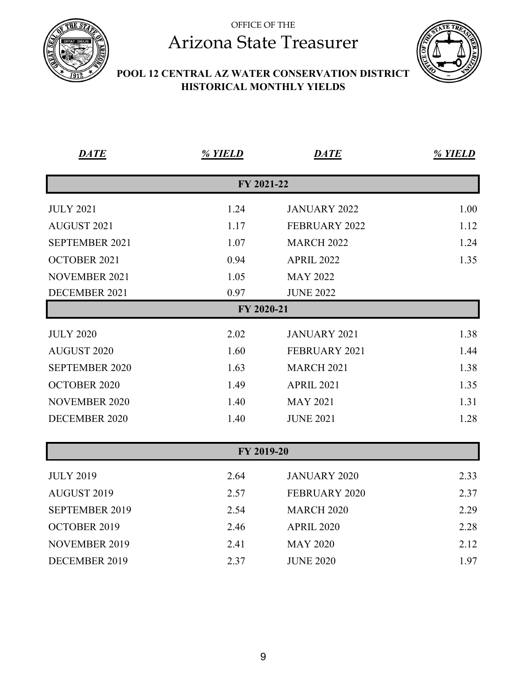



#### **POOL 12 CENTRAL AZ WATER CONSERVATION DISTRICT HISTORICAL MONTHLY YIELDS**

| <b>DATE</b>           | % YIELD    | <b>DATE</b>          | % YIELD |
|-----------------------|------------|----------------------|---------|
|                       | FY 2021-22 |                      |         |
| <b>JULY 2021</b>      | 1.24       | <b>JANUARY 2022</b>  | 1.00    |
| AUGUST 2021           | 1.17       | <b>FEBRUARY 2022</b> | 1.12    |
| SEPTEMBER 2021        | 1.07       | <b>MARCH 2022</b>    | 1.24    |
| <b>OCTOBER 2021</b>   | 0.94       | <b>APRIL 2022</b>    | 1.35    |
| <b>NOVEMBER 2021</b>  | 1.05       | <b>MAY 2022</b>      |         |
| DECEMBER 2021         | 0.97       | <b>JUNE 2022</b>     |         |
|                       | FY 2020-21 |                      |         |
| <b>JULY 2020</b>      | 2.02       | <b>JANUARY 2021</b>  | 1.38    |
| <b>AUGUST 2020</b>    | 1.60       | FEBRUARY 2021        | 1.44    |
| <b>SEPTEMBER 2020</b> | 1.63       | <b>MARCH 2021</b>    | 1.38    |
| <b>OCTOBER 2020</b>   | 1.49       | <b>APRIL 2021</b>    | 1.35    |
| <b>NOVEMBER 2020</b>  | 1.40       | <b>MAY 2021</b>      | 1.31    |
| <b>DECEMBER 2020</b>  | 1.40       | <b>JUNE 2021</b>     | 1.28    |
|                       | FY 2019-20 |                      |         |
|                       |            |                      |         |
| <b>JULY 2019</b>      | 2.64       | <b>JANUARY 2020</b>  | 2.33    |
| AUGUST 2019           | 2.57       | FEBRUARY 2020        | 2.37    |
| SEPTEMBER 2019        | 2.54       | <b>MARCH 2020</b>    | 2.29    |
| OCTOBER 2019          | 2.46       | <b>APRIL 2020</b>    | 2.28    |
| <b>NOVEMBER 2019</b>  | 2.41       | <b>MAY 2020</b>      | 2.12    |
| DECEMBER 2019         | 2.37       | <b>JUNE 2020</b>     | 1.97    |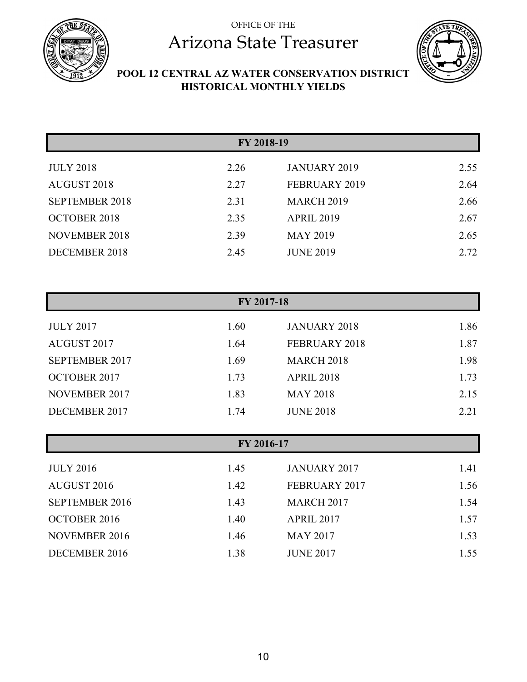



**POOL 12 CENTRAL AZ WATER CONSERVATION DISTRICT HISTORICAL MONTHLY YIELDS** 

| FY 2018-19            |      |                     |      |
|-----------------------|------|---------------------|------|
| <b>JULY 2018</b>      | 2.26 | <b>JANUARY 2019</b> | 2.55 |
| <b>AUGUST 2018</b>    | 2.27 | FEBRUARY 2019       | 2.64 |
| <b>SEPTEMBER 2018</b> | 2.31 | <b>MARCH 2019</b>   | 2.66 |
| <b>OCTOBER 2018</b>   | 2.35 | <b>APRIL 2019</b>   | 2.67 |
| <b>NOVEMBER 2018</b>  | 2.39 | <b>MAY 2019</b>     | 2.65 |
| DECEMBER 2018         | 2.45 | <b>JUNE 2019</b>    | 2.72 |

| FY 2017-18            |      |                     |      |
|-----------------------|------|---------------------|------|
| <b>JULY 2017</b>      | 1.60 | <b>JANUARY 2018</b> | 1.86 |
| AUGUST 2017           | 1.64 | FEBRUARY 2018       | 1.87 |
| <b>SEPTEMBER 2017</b> | 1.69 | <b>MARCH 2018</b>   | 1.98 |
| <b>OCTOBER 2017</b>   | 1.73 | <b>APRIL 2018</b>   | 1.73 |
| <b>NOVEMBER 2017</b>  | 1.83 | <b>MAY 2018</b>     | 2.15 |
| DECEMBER 2017         | 1.74 | <b>JUNE 2018</b>    | 2.21 |

| FY 2016-17            |      |                     |      |
|-----------------------|------|---------------------|------|
| <b>JULY 2016</b>      | 1.45 | <b>JANUARY 2017</b> | 1.41 |
| AUGUST 2016           | 1.42 | FEBRUARY 2017       | 1.56 |
| <b>SEPTEMBER 2016</b> | 1.43 | <b>MARCH 2017</b>   | 1.54 |
| <b>OCTOBER 2016</b>   | 1.40 | <b>APRIL 2017</b>   | 1.57 |
| <b>NOVEMBER 2016</b>  | 1.46 | <b>MAY 2017</b>     | 1.53 |
| DECEMBER 2016         | 1.38 | <b>JUNE 2017</b>    | 1.55 |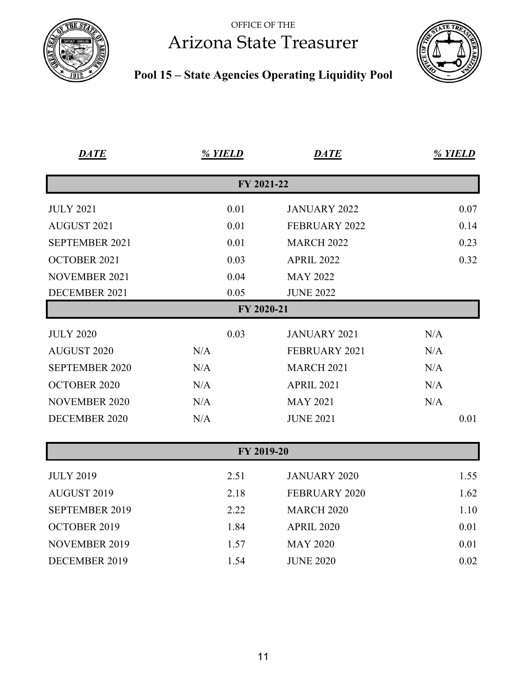





| <b>DATE</b>           | % YIELD    | <b>DATE</b>          | % YIELD |
|-----------------------|------------|----------------------|---------|
|                       | FY 2021-22 |                      |         |
| <b>JULY 2021</b>      | 0.01       | <b>JANUARY 2022</b>  | 0.07    |
| AUGUST 2021           | 0.01       | FEBRUARY 2022        | 0.14    |
| SEPTEMBER 2021        | 0.01       | <b>MARCH 2022</b>    | 0.23    |
| <b>OCTOBER 2021</b>   | 0.03       | <b>APRIL 2022</b>    | 0.32    |
| <b>NOVEMBER 2021</b>  | 0.04       | <b>MAY 2022</b>      |         |
| DECEMBER 2021         | 0.05       | <b>JUNE 2022</b>     |         |
|                       | FY 2020-21 |                      |         |
| <b>JULY 2020</b>      | 0.03       | <b>JANUARY 2021</b>  | N/A     |
| <b>AUGUST 2020</b>    | N/A        | FEBRUARY 2021        | N/A     |
| <b>SEPTEMBER 2020</b> | N/A        | <b>MARCH 2021</b>    | N/A     |
| <b>OCTOBER 2020</b>   | N/A        | <b>APRIL 2021</b>    | N/A     |
| <b>NOVEMBER 2020</b>  | N/A        | <b>MAY 2021</b>      | N/A     |
| DECEMBER 2020         | N/A        | <b>JUNE 2021</b>     | 0.01    |
|                       | FY 2019-20 |                      |         |
| <b>JULY 2019</b>      | 2.51       | <b>JANUARY 2020</b>  | 1.55    |
| AUGUST 2019           | 2.18       | <b>FEBRUARY 2020</b> | 1.62    |
| <b>SEPTEMBER 2019</b> | 2.22       | <b>MARCH 2020</b>    | 1.10    |
| OCTOBER 2019          | 1.84       | <b>APRIL 2020</b>    | 0.01    |
| <b>NOVEMBER 2019</b>  | 1.57       | <b>MAY 2020</b>      | 0.01    |
| DECEMBER 2019         | 1.54       | <b>JUNE 2020</b>     | 0.02    |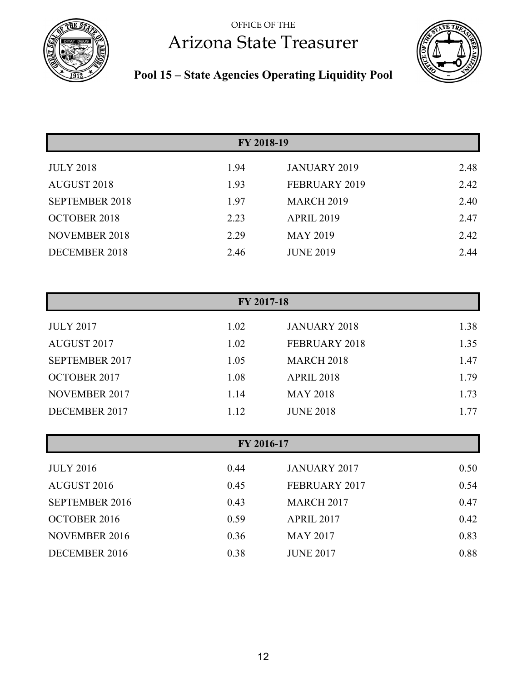#### OFFICE OF THE



# Arizona State Treasurer



### **Pool 15 – State Agencies Operating Liquidity Pool**

|                       | FY 2018-19 |                     |      |  |
|-----------------------|------------|---------------------|------|--|
|                       |            |                     |      |  |
| <b>JULY 2018</b>      | 1.94       | <b>JANUARY 2019</b> | 2.48 |  |
| AUGUST 2018           | 1.93       | FEBRUARY 2019       | 2.42 |  |
| <b>SEPTEMBER 2018</b> | 1.97       | <b>MARCH 2019</b>   | 2.40 |  |
| <b>OCTOBER 2018</b>   | 2.23       | <b>APRIL 2019</b>   | 2.47 |  |
| <b>NOVEMBER 2018</b>  | 2.29       | <b>MAY 2019</b>     | 2.42 |  |
| DECEMBER 2018         | 2.46       | <b>JUNE 2019</b>    | 2.44 |  |

| FY 2017-18            |      |                     |      |
|-----------------------|------|---------------------|------|
| <b>JULY 2017</b>      | 1.02 | <b>JANUARY 2018</b> | 1.38 |
| AUGUST 2017           | 1.02 | FEBRUARY 2018       | 1.35 |
| <b>SEPTEMBER 2017</b> | 1.05 | <b>MARCH 2018</b>   | 1.47 |
| <b>OCTOBER 2017</b>   | 1.08 | <b>APRIL 2018</b>   | 1.79 |
| <b>NOVEMBER 2017</b>  | 1.14 | <b>MAY 2018</b>     | 1.73 |
| DECEMBER 2017         | 1.12 | <b>JUNE 2018</b>    | 1.77 |

| FY 2016-17            |      |                     |      |  |
|-----------------------|------|---------------------|------|--|
| <b>JULY 2016</b>      | 0.44 | <b>JANUARY 2017</b> | 0.50 |  |
| AUGUST 2016           | 0.45 | FEBRUARY 2017       | 0.54 |  |
| <b>SEPTEMBER 2016</b> | 0.43 | <b>MARCH 2017</b>   | 0.47 |  |
| <b>OCTOBER 2016</b>   | 0.59 | <b>APRIL 2017</b>   | 0.42 |  |
| NOVEMBER 2016         | 0.36 | <b>MAY 2017</b>     | 0.83 |  |
| DECEMBER 2016         | 0.38 | <b>JUNE 2017</b>    | 0.88 |  |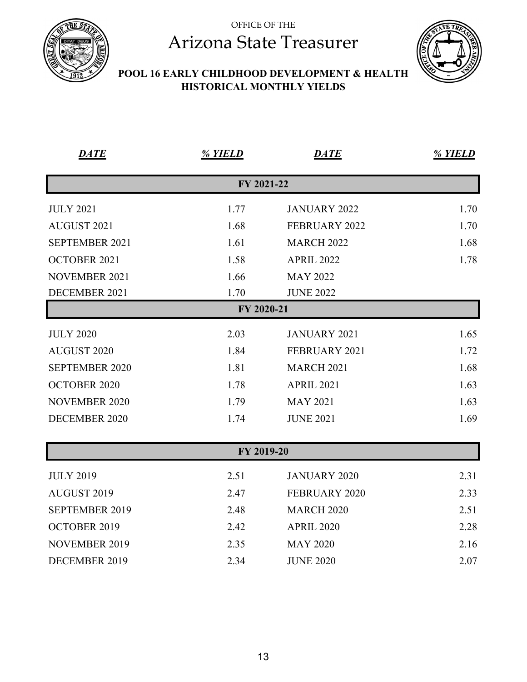



#### **POOL 16 EARLY CHILDHOOD DEVELOPMENT & HEALTH HISTORICAL MONTHLY YIELDS**

| <b>DATE</b>           | % YIELD    | <b>DATE</b>          | % YIELD |
|-----------------------|------------|----------------------|---------|
|                       | FY 2021-22 |                      |         |
| <b>JULY 2021</b>      | 1.77       | <b>JANUARY 2022</b>  | 1.70    |
| AUGUST 2021           | 1.68       | <b>FEBRUARY 2022</b> | 1.70    |
| SEPTEMBER 2021        | 1.61       | <b>MARCH 2022</b>    | 1.68    |
| <b>OCTOBER 2021</b>   | 1.58       | <b>APRIL 2022</b>    | 1.78    |
| <b>NOVEMBER 2021</b>  | 1.66       | <b>MAY 2022</b>      |         |
| DECEMBER 2021         | 1.70       | <b>JUNE 2022</b>     |         |
|                       | FY 2020-21 |                      |         |
| <b>JULY 2020</b>      | 2.03       | <b>JANUARY 2021</b>  | 1.65    |
| <b>AUGUST 2020</b>    | 1.84       | FEBRUARY 2021        | 1.72    |
| <b>SEPTEMBER 2020</b> | 1.81       | <b>MARCH 2021</b>    | 1.68    |
| <b>OCTOBER 2020</b>   | 1.78       | <b>APRIL 2021</b>    | 1.63    |
| <b>NOVEMBER 2020</b>  | 1.79       | <b>MAY 2021</b>      | 1.63    |
| <b>DECEMBER 2020</b>  | 1.74       | <b>JUNE 2021</b>     | 1.69    |
|                       |            |                      |         |
|                       | FY 2019-20 |                      |         |
| <b>JULY 2019</b>      | 2.51       | <b>JANUARY 2020</b>  | 2.31    |
| AUGUST 2019           | 2.47       | FEBRUARY 2020        | 2.33    |
| <b>SEPTEMBER 2019</b> | 2.48       | <b>MARCH 2020</b>    | 2.51    |
| OCTOBER 2019          | 2.42       | <b>APRIL 2020</b>    | 2.28    |
| <b>NOVEMBER 2019</b>  | 2.35       | <b>MAY 2020</b>      | 2.16    |
| DECEMBER 2019         | 2.34       | <b>JUNE 2020</b>     | 2.07    |